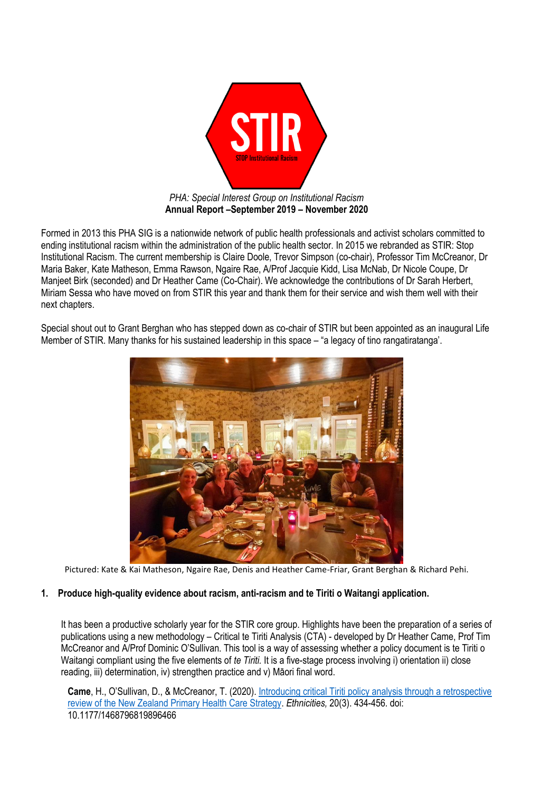

Formed in 2013 this PHA SIG is a nationwide network of public health professionals and activist scholars committed to ending institutional racism within the administration of the public health sector. In 2015 we rebranded as STIR: Stop Institutional Racism. The current membership is Claire Doole, Trevor Simpson (co-chair), Professor Tim McCreanor, Dr Maria Baker, Kate Matheson, Emma Rawson, Ngaire Rae, A/Prof Jacquie Kidd, Lisa McNab, Dr Nicole Coupe, Dr Manjeet Birk (seconded) and Dr Heather Came (Co-Chair). We acknowledge the contributions of Dr Sarah Herbert, Miriam Sessa who have moved on from STIR this year and thank them for their service and wish them well with their next chapters.

Special shout out to Grant Berghan who has stepped down as co-chair of STIR but been appointed as an inaugural Life Member of STIR. Many thanks for his sustained leadership in this space – "a legacy of tino rangatiratanga'.



Pictured: Kate & Kai Matheson, Ngaire Rae, Denis and Heather Came-Friar, Grant Berghan & Richard Pehi.

## **1. Produce high-quality evidence about racism, anti-racism and te Tiriti o Waitangi application.**

It has been a productive scholarly year for the STIR core group. Highlights have been the preparation of a series of publications using a new methodology – Critical te Tiriti Analysis (CTA) - developed by Dr Heather Came, Prof Tim McCreanor and A/Prof Dominic O'Sullivan. This tool is a way of assessing whether a policy document is te Tiriti o Waitangi compliant using the five elements of *te Tiriti.* It is a five-stage process involving i) orientation ii) close reading, iii) determination, iv) strengthen practice and v) Māori final word.

**Came**, H., O'Sullivan, D., & McCreanor, T. (2020). Introducing critical [Tiriti policy analysis through](https://journals.sagepub.com/doi/abs/10.1177/1468796819896466) a retrospective review [of the New Zealand Primary Health Care](https://journals.sagepub.com/doi/abs/10.1177/1468796819896466) Strategy. *Ethnicities,* 20(3). 434-456. doi: 10.1177/1468796819896466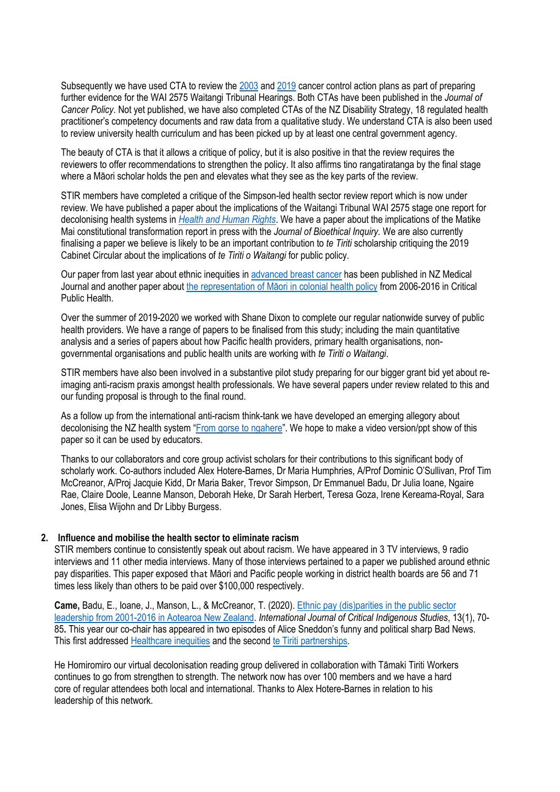Subsequently we have used CTA to review th[e 2003](https://www.sciencedirect.com/science/article/pii/S2213538319300888) an[d 2019](https://www.sciencedirect.com/science/article/abs/pii/S2213538320300448?via%3Dihub) cancer control action plans as part of preparing further evidence for the WAI 2575 Waitangi Tribunal Hearings. Both CTAs have been published in the *Journal of Cancer Policy*. Not yet published, we have also completed CTAs of the NZ Disability Strategy, 18 regulated health practitioner's competency documents and raw data from a qualitative study. We understand CTA is also been used to review university health curriculum and has been picked up by at least one central government agency.

The beauty of CTA is that it allows a critique of policy, but it is also positive in that the review requires the reviewers to offer recommendations to strengthen the policy. It also affirms tino rangatiratanga by the final stage where a Māori scholar holds the pen and elevates what they see as the key parts of the review.

STIR members have completed a critique of the Simpson-led health sector review report which is now under review. We have published a paper about the implications of the Waitangi Tribunal WAI 2575 stage one report for decolonising health systems in *[Health and Human Rights](https://www.hhrjournal.org/2020/06/the-waitangi-tribunals-wai-2575-report-implications-for-decolonizing-health-systems/)*. We have a paper about the implications of the Matike Mai constitutional transformation report in press with the *Journal of Bioethical Inquiry.* We are also currently finalising a paper we believe is likely to be an important contribution to *te Tiriti* scholarship critiquing the 2019 Cabinet Circular about the implications of *te Tiriti o Waitangi* for public policy.

Our paper from last year about ethnic inequities in [advanced breast cancer](https://www.nzma.org.nz/journal-articles/resisting-ethnic-inequities-in-advanced-breast-cancer-a-call-to-action) has been published in NZ Medical Journal and another paper about the representation of Māori [in colonial health policy](https://www.tandfonline.com/doi/abs/10.1080/09581596.2019.1686461) from 2006-2016 in Critical Public Health.

Over the summer of 2019-2020 we worked with Shane Dixon to complete our regular nationwide survey of public health providers. We have a range of papers to be finalised from this study; including the main quantitative analysis and a series of papers about how Pacific health providers, primary health organisations, nongovernmental organisations and public health units are working with *te Tiriti o Waitangi*.

STIR members have also been involved in a substantive pilot study preparing for our bigger grant bid yet about reimaging anti-racism praxis amongst health professionals. We have several papers under review related to this and our funding proposal is through to the final round.

As a follow up from the international anti-racism think-tank we have developed an emerging allegory about decolonising the NZ health system "[From gorse to ngahere](https://www.nzma.org.nz/journal-articles/from-gorse-to-ngahere-an-emerging-allegory-for-decolonising-the-new-zealand-health-system)". We hope to make a video version/ppt show of this paper so it can be used by educators.

Thanks to our collaborators and core group activist scholars for their contributions to this significant body of scholarly work. Co-authors included Alex Hotere-Barnes, Dr Maria Humphries, A/Prof Dominic O'Sullivan, Prof Tim McCreanor, A/Proj Jacquie Kidd, Dr Maria Baker, Trevor Simpson, Dr Emmanuel Badu, Dr Julia Ioane, Ngaire Rae, Claire Doole, Leanne Manson, Deborah Heke, Dr Sarah Herbert, Teresa Goza, Irene Kereama-Royal, Sara Jones, Elisa Wijohn and Dr Libby Burgess.

## **2. Influence and mobilise the health sector to eliminate racism**

STIR members continue to consistently speak out about racism. We have appeared in 3 TV interviews, 9 radio interviews and 11 other media interviews. Many of those interviews pertained to a paper we published around ethnic pay disparities. This paper exposed that Māori and Pacific people working in district health boards are 56 and 71 times less likely than others to be paid over \$100,000 respectively.

**Came,** Badu, E., Ioane, J., Manson, L., & McCreanor, T. (2020). [Ethnic pay \(dis\)parities in the public sector](https://ijcis.qut.edu.au/article/view/1331)  [leadership from 2001-2016 in Aotearoa New Zealand.](https://ijcis.qut.edu.au/article/view/1331) *International Journal of Critical Indigenous Studies*, 13(1), 70- 85**.** This year our co-chair has appeared in two episodes of Alice Sneddon's funny and political sharp Bad News. This first addressed [Healthcare inequities](https://www.youtube.com/watch?v=4g6l5EeZfFc) and the second [te Tiriti partnerships.](https://www.youtube.com/watch?v=-0TMZmdpXME)

He Homiromiro our virtual decolonisation reading group delivered in collaboration with Tāmaki Tiriti Workers continues to go from strengthen to strength. The network now has over 100 members and we have a hard core of regular attendees both local and international. Thanks to Alex Hotere-Barnes in relation to his leadership of this network.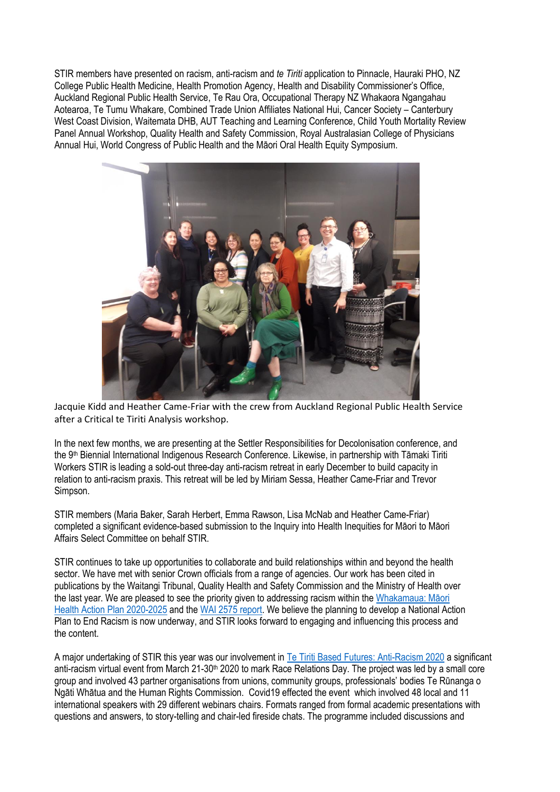STIR members have presented on racism, anti-racism and *te Tiriti* application to Pinnacle, Hauraki PHO, NZ College Public Health Medicine, Health Promotion Agency, Health and Disability Commissioner's Office, Auckland Regional Public Health Service, Te Rau Ora, Occupational Therapy NZ Whakaora Ngangahau Aotearoa, Te Tumu Whakare, Combined Trade Union Affiliates National Hui, Cancer Society – Canterbury West Coast Division, Waitemata DHB, AUT Teaching and Learning Conference, Child Youth Mortality Review Panel Annual Workshop, Quality Health and Safety Commission, Royal Australasian College of Physicians Annual Hui, World Congress of Public Health and the Māori Oral Health Equity Symposium.



Jacquie Kidd and Heather Came-Friar with the crew from Auckland Regional Public Health Service after a Critical te Tiriti Analysis workshop.

In the next few months, we are presenting at the Settler Responsibilities for Decolonisation conference, and the 9th Biennial International Indigenous Research Conference. Likewise, in partnership with Tāmaki Tiriti Workers STIR is leading a sold-out three-day anti-racism retreat in early December to build capacity in relation to anti-racism praxis. This retreat will be led by Miriam Sessa, Heather Came-Friar and Trevor Simpson.

STIR members (Maria Baker, Sarah Herbert, Emma Rawson, Lisa McNab and Heather Came-Friar) completed a significant evidence-based submission to the Inquiry into Health Inequities for Māori to Māori Affairs Select Committee on behalf STIR.

STIR continues to take up opportunities to collaborate and build relationships within and beyond the health sector. We have met with senior Crown officials from a range of agencies. Our work has been cited in publications by the Waitangi Tribunal, Quality Health and Safety Commission and the Ministry of Health over the last year. We are pleased to see the priority given to addressing racism within the [Whakamaua: Māori](https://www.health.govt.nz/publication/whakamaua-maori-health-action-plan-2020-2025)  [Health Action Plan 2020-2025](https://www.health.govt.nz/publication/whakamaua-maori-health-action-plan-2020-2025) and the [WAI 2575 report.](https://waitangitribunal.govt.nz/inquiries/kaupapa-inquiries/health-services-and-outcomes-inquiry/) We believe the planning to develop a National Action Plan to End Racism is now underway, and STIR looks forward to engaging and influencing this process and the content.

A major undertaking of STIR this year was our involvement in [Te Tiriti Based Futures: Anti-Racism 2020](https://www.stirnz.org/tetiritibasedfutures) a significant anti-racism virtual event from March 21-30<sup>th</sup> 2020 to mark Race Relations Day. The project was led by a small core group and involved 43 partner organisations from unions, community groups, professionals' bodies Te Rūnanga o Ngāti Whātua and the Human Rights Commission. Covid19 effected the event which involved 48 local and 11 international speakers with 29 different webinars chairs. Formats ranged from formal academic presentations with questions and answers, to story-telling and chair-led fireside chats. The programme included discussions and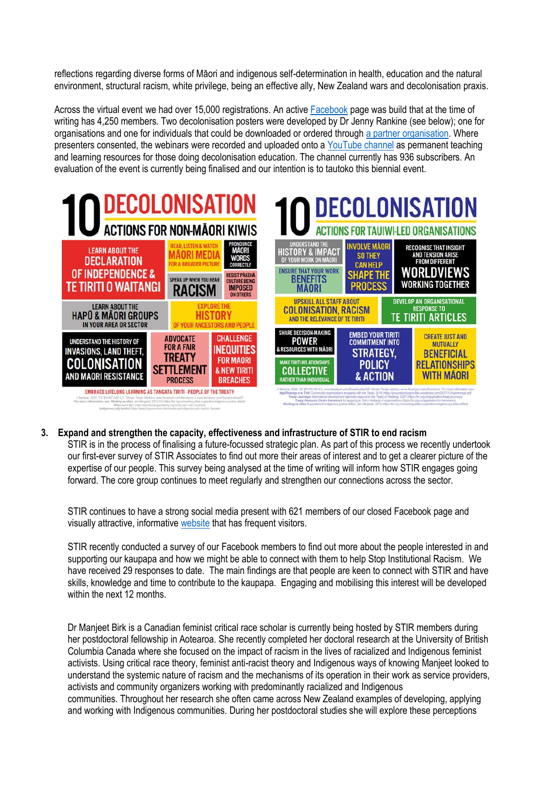reflections regarding diverse forms of Māori and indigenous self-determination in health, education and the natural environment, structural racism, white privilege, being an effective ally, New Zealand wars and decolonisation praxis.

Across the virtual event we had over 15,000 registrations. An active [Facebook](https://www.facebook.com/groups/540828373143380/) page was build that at the time of writing has 4,250 members. Two decolonisation posters were developed by Dr Jenny Rankine (see below); one for organisations and one for individuals that could be downloaded or ordered through [a partner organisation.](https://nwo.org.nz/resources/decolonisation-posters/) Where presenters consented, the webinars were recorded and uploaded onto a [YouTube channel](https://www.youtube.com/channel/UCm2WbL6mk6fRI6RERTFZj8A?sub_confirmation=1) as permanent teaching and learning resources for those doing decolonisation education. The channel currently has 936 subscribers. An evaluation of the event is currently being finalised and our intention is to tautoko this biennial event.



**3. Expand and strengthen the capacity, effectiveness and infrastructure of STIR to end racism** STIR is in the process of finalising a future-focussed strategic plan. As part of this process we recently undertook our first-ever survey of STIR Associates to find out more their areas of interest and to get a clearer picture of the expertise of our people. This survey being analysed at the time of writing will inform how STIR engages going forward. The core group continues to meet regularly and strengthen our connections across the sector.

STIR continues to have a strong social media present with 621 members of our closed Facebook page and visually attractive, informative [website](https://www.stirnz.org/) that has frequent visitors.

STIR recently conducted a survey of our Facebook members to find out more about the people interested in and supporting our kaupapa and how we might be able to connect with them to help Stop Institutional Racism. We have received 29 responses to date. The main findings are that people are keen to connect with STIR and have skills, knowledge and time to contribute to the kaupapa. Engaging and mobilising this interest will be developed within the next 12 months.

Dr Manjeet Birk is a Canadian feminist critical race scholar is currently being hosted by STIR members during her postdoctoral fellowship in Aotearoa. She recently completed her doctoral research at the University of British Columbia Canada where she focused on the impact of racism in the lives of racialized and Indigenous feminist activists. Using critical race theory, feminist anti-racist theory and Indigenous ways of knowing Manjeet looked to understand the systemic nature of racism and the mechanisms of its operation in their work as service providers, activists and community organizers working with predominantly racialized and Indigenous communities. Throughout her research she often came across New Zealand examples of developing, applying and working with Indigenous communities. During her postdoctoral studies she will explore these perceptions